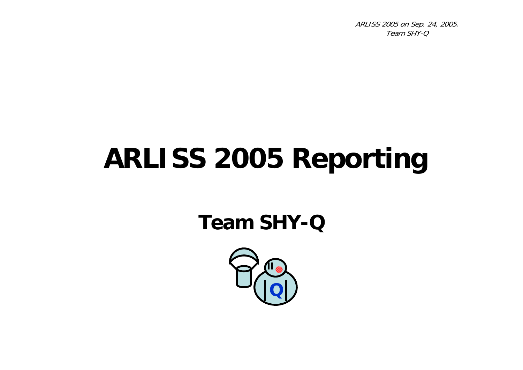# **ARLISS 2005 Reporting**

#### **Team SHY-Q**

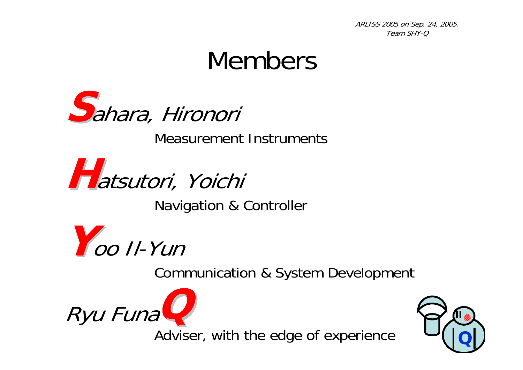### Members



Measurement Instruments



Navigation & Controller



Communication & System Development





Adviser, with the edge of experience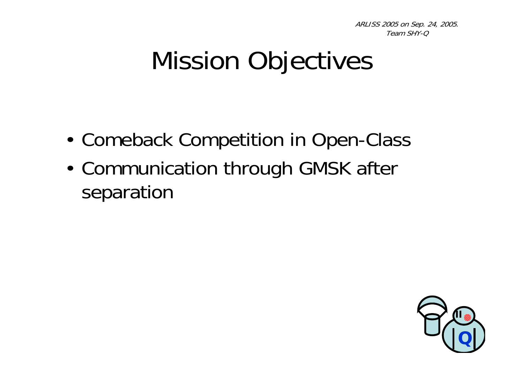## Mission Objectives

- •• Comeback Competition in Open-Class
- • Communication through GMSK after separation

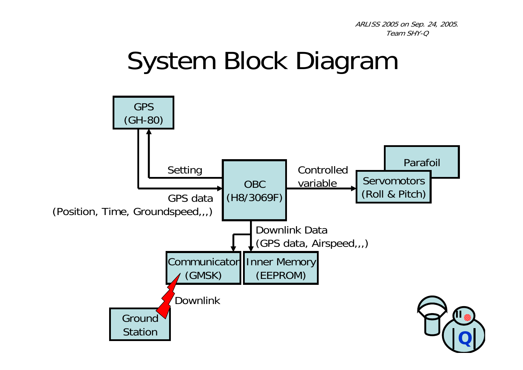#### System Block Diagram

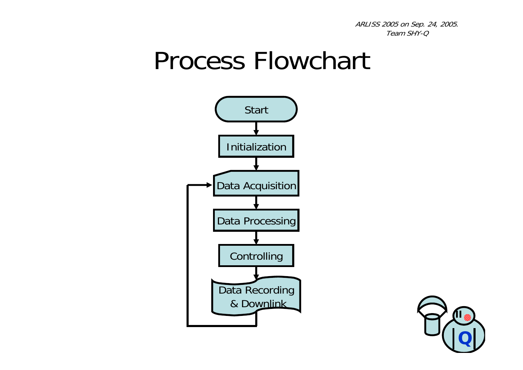#### Process Flowchart



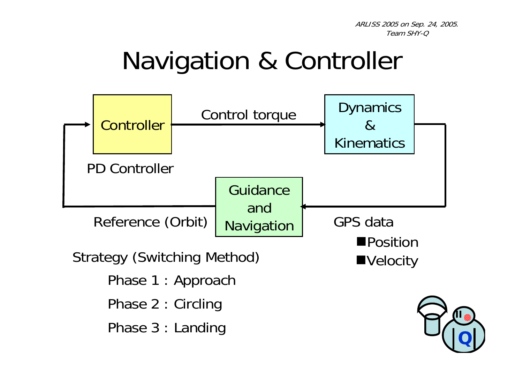## Navigation & Controller

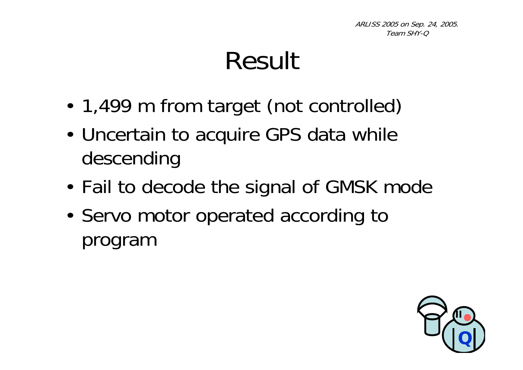## Result

- •1,499 m from target (not controlled)
- • Uncertain to acquire GPS data while descending
- •Fail to decode the signal of GMSK mode
- •• Servo motor operated according to program

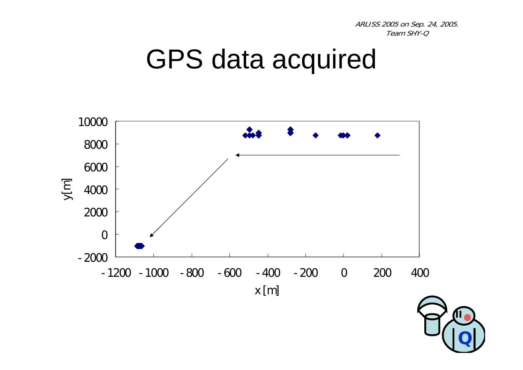#### GPS data acquired



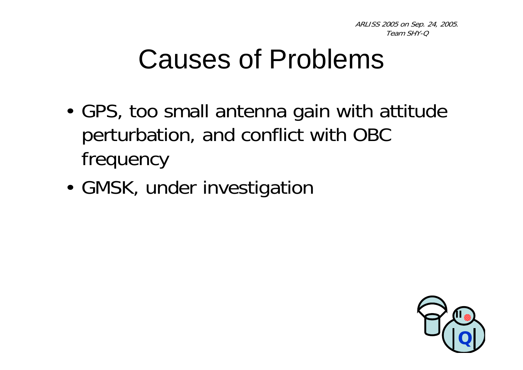## Causes of Problems

- • GPS, too small antenna gain with attitude perturbation, and conflict with OBC frequency
- •GMSK, under investigation

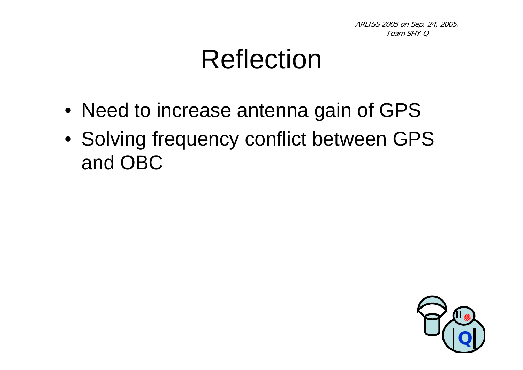## Reflection

- Need to increase antenna gain of GPS
- Solving frequency conflict between GPS and OBC